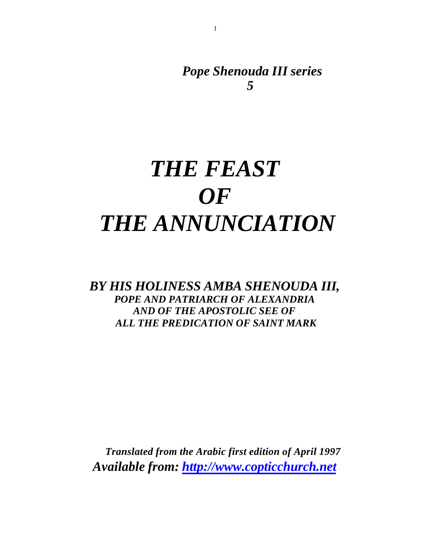*Pope Shenouda III series 5*

# *THE FEAST OF THE ANNUNCIATION*

## *BY HIS HOLINESS AMBA SHENOUDA III, POPE AND PATRIARCH OF ALEXANDRIA AND OF THE APOSTOLIC SEE OF ALL THE PREDICATION OF SAINT MARK*

 *Translated from the Arabic first edition of April 1997 Available from:<http://www.copticchurch.net>*

1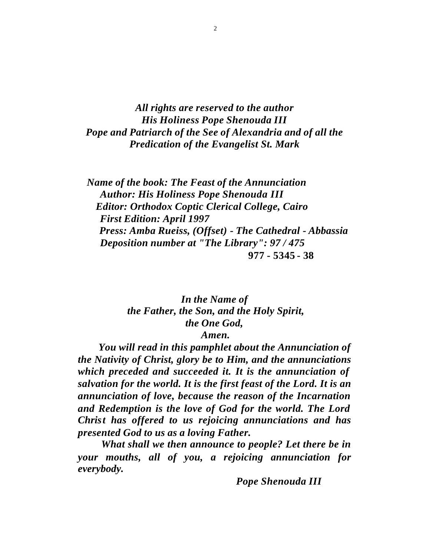*All rights are reserved to the author His Holiness Pope Shenouda III Pope and Patriarch of the See of Alexandria and of all the Predication of the Evangelist St. Mark*

 *Name of the book: The Feast of the Annunciation Author: His Holiness Pope Shenouda III Editor: Orthodox Coptic Clerical College, Cairo First Edition: April 1997 Press: Amba Rueiss, (Offset) - The Cathedral - Abbassia Deposition number at "The Library": 97 / 475* **977 - 5345 - 38** 

## *In the Name of the Father, the Son, and the Holy Spirit, the One God,*

#### *Amen.*

 *You will read in this pamphlet about the Annunciation of the Nativity of Christ, glory be to Him, and the annunciations which preceded and succeeded it. It is the annunciation of salvation for the world. It is the first feast of the Lord. It is an annunciation of love, because the reason of the Incarnation and Redemption is the love of God for the world. The Lord Christ has offered to us rejoicing annunciations and has presented God to us as a loving Father.*

 *What shall we then announce to people? Let there be in your mouths, all of you, a rejoicing annunciation for everybody.*

 *Pope Shenouda III*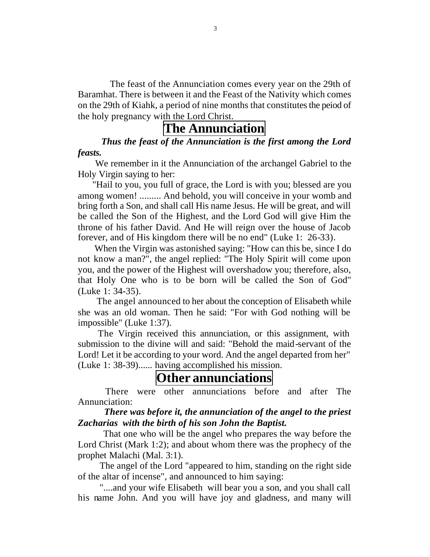The feast of the Annunciation comes every year on the 29th of Baramhat. There is between it and the Feast of the Nativity which comes on the 29th of Kiahk, a period of nine months that constitutes the peiod of the holy pregnancy with the Lord Christ.

## **The Annunciation**

 *Thus the feast of the Annunciation is the first among the Lord feasts.*

 We remember in it the Annunciation of the archangel Gabriel to the Holy Virgin saying to her:

 "Hail to you, you full of grace, the Lord is with you; blessed are you among women! ......... And behold, you will conceive in your womb and bring forth a Son, and shall call His name Jesus. He will be great, and will be called the Son of the Highest, and the Lord God will give Him the throne of his father David. And He will reign over the house of Jacob forever, and of His kingdom there will be no end" (Luke 1: 26-33).

 When the Virgin was astonished saying: "How can this be, since I do not know a man?", the angel replied: "The Holy Spirit will come upon you, and the power of the Highest will overshadow you; therefore, also, that Holy One who is to be born will be called the Son of God" (Luke 1: 34-35).

 The angel announced to her about the conception of Elisabeth while she was an old woman. Then he said: "For with God nothing will be impossible" (Luke 1:37).

 The Virgin received this annunciation, or this assignment, with submission to the divine will and said: "Behold the maid-servant of the Lord! Let it be according to your word. And the angel departed from her" (Luke 1: 38-39)...... having accomplished his mission.

## **Other annunciations**

 There were other annunciations before and after The Annunciation:

#### *There was before it, the annunciation of the angel to the priest Zacharias with the birth of his son John the Baptist.*

 That one who will be the angel who prepares the way before the Lord Christ (Mark 1:2); and about whom there was the prophecy of the prophet Malachi (Mal. 3:1).

 The angel of the Lord "appeared to him, standing on the right side of the altar of incense", and announced to him saying:

 "....and your wife Elisabeth will bear you a son, and you shall call his name John. And you will have joy and gladness, and many will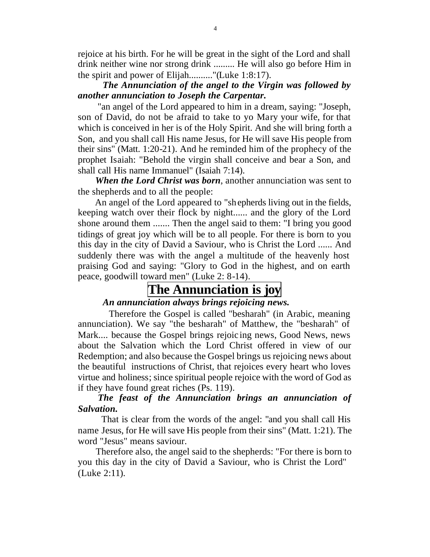rejoice at his birth. For he will be great in the sight of the Lord and shall drink neither wine nor strong drink ......... He will also go before Him in the spirit and power of Elijah.........."(Luke 1:8:17).

#### *The Annunciation of the angel to the Virgin was followed by another annunciation to Joseph the Carpentar.*

 "an angel of the Lord appeared to him in a dream, saying: "Joseph, son of David, do not be afraid to take to yo Mary your wife, for that which is conceived in her is of the Holy Spirit. And she will bring forth a Son, and you shall call His name Jesus, for He will save His people from their sins" (Matt. 1:20-21). And he reminded him of the prophecy of the prophet Isaiah: "Behold the virgin shall conceive and bear a Son, and shall call His name Immanuel" (Isaiah 7:14).

 *When the Lord Christ was born*, another annunciation was sent to the shepherds and to all the people:

 An angel of the Lord appeared to "shepherds living out in the fields, keeping watch over their flock by night...... and the glory of the Lord shone around them ....... Then the angel said to them: "I bring you good tidings of great joy which will be to all people. For there is born to you this day in the city of David a Saviour, who is Christ the Lord ...... And suddenly there was with the angel a multitude of the heavenly host praising God and saying: "Glory to God in the highest, and on earth peace, goodwill toward men" (Luke 2: 8-14).

# **The Annunciation is joy**

#### *An annunciation always brings rejoicing news.*

 Therefore the Gospel is called "besharah" (in Arabic, meaning annunciation). We say "the besharah" of Matthew, the "besharah" of Mark.... because the Gospel brings rejoic ing news, Good News, news about the Salvation which the Lord Christ offered in view of our Redemption; and also because the Gospel brings us rejoicing news about the beautiful instructions of Christ, that rejoices every heart who loves virtue and holiness; since spiritual people rejoice with the word of God as if they have found great riches (Ps. 119).

#### *The feast of the Annunciation brings an annunciation of Salvation.*

 That is clear from the words of the angel: "and you shall call His name Jesus, for He will save His people from their sins" (Matt. 1:21). The word "Jesus" means saviour.

 Therefore also, the angel said to the shepherds: "For there is born to you this day in the city of David a Saviour, who is Christ the Lord" (Luke 2:11).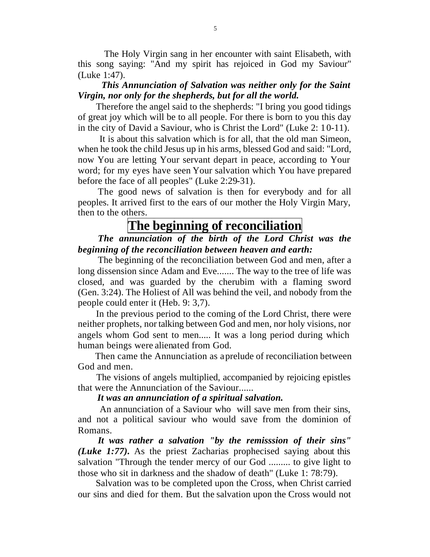The Holy Virgin sang in her encounter with saint Elisabeth, with this song saying: "And my spirit has rejoiced in God my Saviour" (Luke 1:47).

#### *This Annunciation of Salvation was neither only for the Saint Virgin, nor only for the shepherds, but for all the world.*

 Therefore the angel said to the shepherds: "I bring you good tidings of great joy which will be to all people. For there is born to you this day in the city of David a Saviour, who is Christ the Lord" (Luke 2: 10-11).

 It is about this salvation which is for all, that the old man Simeon, when he took the child Jesus up in his arms, blessed God and said: "Lord, now You are letting Your servant depart in peace, according to Your word; for my eyes have seen Your salvation which You have prepared before the face of all peoples" (Luke 2:29-31).

 The good news of salvation is then for everybody and for all peoples. It arrived first to the ears of our mother the Holy Virgin Mary, then to the others.

## **The beginning of reconciliation**

 *The annunciation of the birth of the Lord Christ was the beginning of the reconciliation between heaven and earth:*

 The beginning of the reconciliation between God and men, after a long dissension since Adam and Eve....... The way to the tree of life was closed, and was guarded by the cherubim with a flaming sword (Gen. 3:24). The Holiest of All was behind the veil, and nobody from the people could enter it (Heb. 9: 3,7).

 In the previous period to the coming of the Lord Christ, there were neither prophets, nor talking between God and men, nor holy visions, nor angels whom God sent to men..... It was a long period during which human beings were alienated from God.

 Then came the Annunciation as a prelude of reconciliation between God and men.

 The visions of angels multiplied, accompanied by rejoicing epistles that were the Annunciation of the Saviour......

#### *It was an annunciation of a spiritual salvation.*

 An annunciation of a Saviour who will save men from their sins, and not a political saviour who would save from the dominion of Romans.

 *It was rather a salvation "by the remisssion of their sins" (Luke 1:77).* As the priest Zacharias prophecised saying about this salvation "Through the tender mercy of our God ......... to give light to those who sit in darkness and the shadow of death" (Luke 1: 78:79).

 Salvation was to be completed upon the Cross, when Christ carried our sins and died for them. But the salvation upon the Cross would not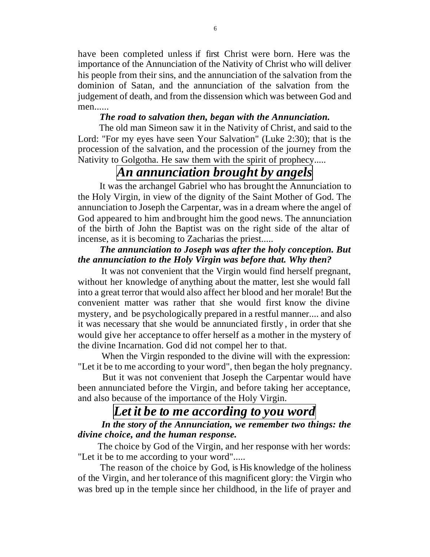have been completed unless if first Christ were born. Here was the importance of the Annunciation of the Nativity of Christ who will deliver his people from their sins, and the annunciation of the salvation from the dominion of Satan, and the annunciation of the salvation from the judgement of death, and from the dissension which was between God and men......

#### *The road to salvation then, began with the Annunciation.*

 The old man Simeon saw it in the Nativity of Christ, and said to the Lord: "For my eyes have seen Your Salvation" (Luke 2:30); that is the procession of the salvation, and the procession of the journey from the Nativity to Golgotha. He saw them with the spirit of prophecy.....

# *An annunciation brought by angels*

 It was the archangel Gabriel who has brought the Annunciation to the Holy Virgin, in view of the dignity of the Saint Mother of God. The annunciation to Joseph the Carpentar, was in a dream where the angel of God appeared to him and brought him the good news. The annunciation of the birth of John the Baptist was on the right side of the altar of incense, as it is becoming to Zacharias the priest.....

#### *The annunciation to Joseph was after the holy conception. But the annunciation to the Holy Virgin was before that. Why then?*

 It was not convenient that the Virgin would find herself pregnant, without her knowledge of anything about the matter, lest she would fall into a great terror that would also affect her blood and her morale! But the convenient matter was rather that she would first know the divine mystery, and be psychologically prepared in a restful manner.... and also it was necessary that she would be annunciated firstly , in order that she would give her acceptance to offer herself as a mother in the mystery of the divine Incarnation. God did not compel her to that.

 When the Virgin responded to the divine will with the expression: "Let it be to me according to your word", then began the holy pregnancy.

 But it was not convenient that Joseph the Carpentar would have been annunciated before the Virgin, and before taking her acceptance, and also because of the importance of the Holy Virgin.

## *Let it be to me according to you word*

 *In the story of the Annunciation, we remember two things: the divine choice, and the human response.*

 The choice by God of the Virgin, and her response with her words: "Let it be to me according to your word".....

The reason of the choice by God, is His knowledge of the holiness of the Virgin, and her tolerance of this magnificent glory: the Virgin who was bred up in the temple since her childhood, in the life of prayer and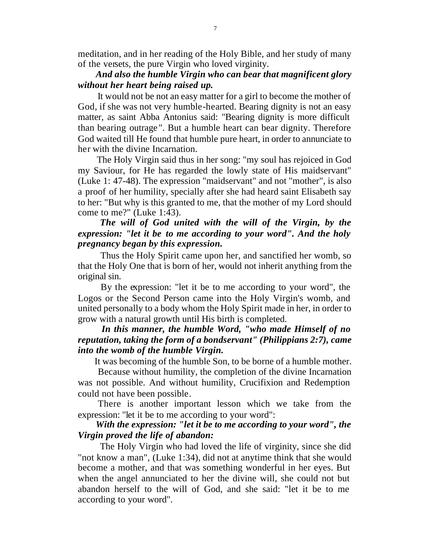meditation, and in her reading of the Holy Bible, and her study of many of the versets, the pure Virgin who loved virginity.

#### *And also the humble Virgin who can bear that magnificent glory without her heart being raised up.*

 It would not be not an easy matter for a girl to become the mother of God, if she was not very humble-hearted. Bearing dignity is not an easy matter, as saint Abba Antonius said: "Bearing dignity is more difficult than bearing outrage". But a humble heart can bear dignity. Therefore God waited till He found that humble pure heart, in order to annunciate to her with the divine Incarnation.

 The Holy Virgin said thus in her song: "my soul has rejoiced in God my Saviour, for He has regarded the lowly state of His maidservant" (Luke 1: 47-48). The expression "maidservant" and not "mother", is also a proof of her humility, specially after she had heard saint Elisabeth say to her: "But why is this granted to me, that the mother of my Lord should come to me?" (Luke 1:43).

#### *The will of God united with the will of the Virgin, by the expression: "let it be to me according to your word". And the holy pregnancy began by this expression.*

 Thus the Holy Spirit came upon her, and sanctified her womb, so that the Holy One that is born of her, would not inherit anything from the original sin.

 By the expression: "let it be to me according to your word", the Logos or the Second Person came into the Holy Virgin's womb, and united personally to a body whom the Holy Spirit made in her, in order to grow with a natural growth until His birth is completed.

#### *In this manner, the humble Word, "who made Himself of no reputation, taking the form of a bondservant" (Philippians 2:7), came into the womb of the humble Virgin.*

It was becoming of the humble Son, to be borne of a humble mother.

 Because without humility, the completion of the divine Incarnation was not possible. And without humility, Crucifixion and Redemption could not have been possible.

 There is another important lesson which we take from the expression: "let it be to me according to your word":

#### *With the expression: "let it be to me according to your word", the Virgin proved the life of abandon:*

 The Holy Virgin who had loved the life of virginity, since she did "not know a man", (Luke 1:34), did not at anytime think that she would become a mother, and that was something wonderful in her eyes. But when the angel annunciated to her the divine will, she could not but abandon herself to the will of God, and she said: "let it be to me according to your word".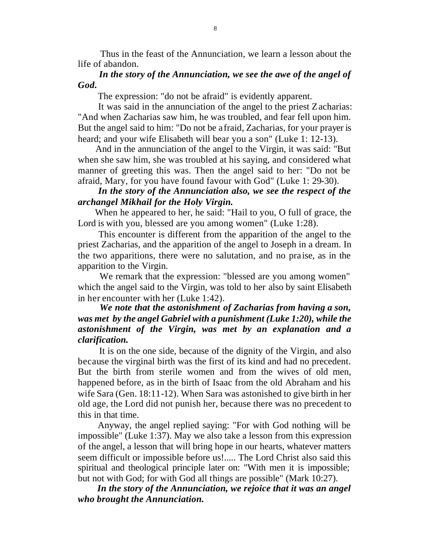Thus in the feast of the Annunciation, we learn a lesson about the life of abandon.

#### *In the story of the Annunciation, we see the awe of the angel of God.*

The expression: "do not be afraid" is evidently apparent.

 It was said in the annunciation of the angel to the priest Zacharias: "And when Zacharias saw him, he was troubled, and fear fell upon him. But the angel said to him: "Do not be afraid, Zacharias, for your prayer is heard; and your wife Elisabeth will bear you a son" (Luke 1: 12-13).

 And in the annunciation of the angel to the Virgin, it was said: "But when she saw him, she was troubled at his saying, and considered what manner of greeting this was. Then the angel said to her: "Do not be afraid, Mary, for you have found favour with God" (Luke 1: 29-30).

#### *In the story of the Annunciation also, we see the respect of the archangel Mikhail for the Holy Virgin.*

 When he appeared to her, he said: "Hail to you, O full of grace, the Lord is with you, blessed are you among women" (Luke 1:28).

 This encounter is different from the apparition of the angel to the priest Zacharias, and the apparition of the angel to Joseph in a dream. In the two apparitions, there were no salutation, and no pra ise, as in the apparition to the Virgin.

 We remark that the expression: "blessed are you among women" which the angel said to the Virgin, was told to her also by saint Elisabeth in her encounter with her (Luke 1:42).

#### *We note that the astonishment of Zacharias from having a son, was met by the angel Gabriel with a punishment (Luke 1:20), while the astonishment of the Virgin, was met by an explanation and a clarification.*

 It is on the one side, because of the dignity of the Virgin, and also because the virginal birth was the first of its kind and had no precedent. But the birth from sterile women and from the wives of old men, happened before, as in the birth of Isaac from the old Abraham and his wife Sara (Gen. 18:11-12). When Sara was astonished to give birth in her old age, the Lord did not punish her, because there was no precedent to this in that time.

 Anyway, the angel replied saying: "For with God nothing will be impossible" (Luke 1:37). May we also take a lesson from this expression of the angel, a lesson that will bring hope in our hearts, whatever matters seem difficult or impossible before us!..... The Lord Christ also said this spiritual and theological principle later on: "With men it is impossible; but not with God; for with God all things are possible" (Mark 10:27).

 *In the story of the Annunciation, we rejoice that it was an angel who brought the Annunciation.*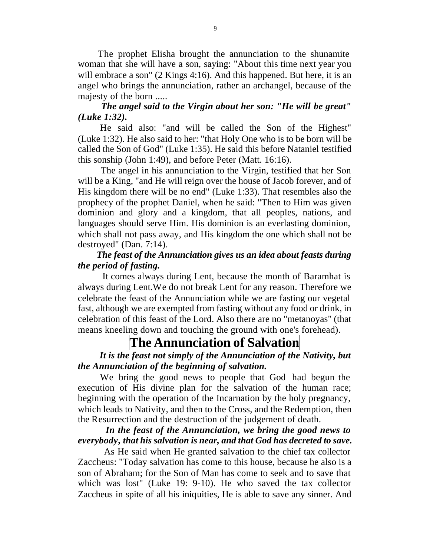The prophet Elisha brought the annunciation to the shunamite woman that she will have a son, saying: "About this time next year you will embrace a son" (2 Kings 4:16). And this happened. But here, it is an angel who brings the annunciation, rather an archangel, because of the majesty of the born .....

#### *The angel said to the Virgin about her son: "He will be great" (Luke 1:32).*

 He said also: "and will be called the Son of the Highest" (Luke 1:32). He also said to her: "that Holy One who is to be born will be called the Son of God" (Luke 1:35). He said this before Nataniel testified this sonship (John 1:49), and before Peter (Matt. 16:16).

 The angel in his annunciation to the Virgin, testified that her Son will be a King, "and He will reign over the house of Jacob forever, and of His kingdom there will be no end" (Luke 1:33). That resembles also the prophecy of the prophet Daniel, when he said: "Then to Him was given dominion and glory and a kingdom, that all peoples, nations, and languages should serve Him. His dominion is an everlasting dominion, which shall not pass away, and His kingdom the one which shall not be destroyed" (Dan. 7:14).

#### *The feast of the Annunciation gives us an idea about feasts during the period of fasting.*

 It comes always during Lent, because the month of Baramhat is always during Lent.We do not break Lent for any reason. Therefore we celebrate the feast of the Annunciation while we are fasting our vegetal fast, although we are exempted from fasting without any food or drink, in celebration of this feast of the Lord. Also there are no "metanoyas" (that means kneeling down and touching the ground with one's forehead).

# **The Annunciation of Salvation**

 *It is the feast not simply of the Annunciation of the Nativity, but the Annunciation of the beginning of salvation.*

 We bring the good news to people that God had begun the execution of His divine plan for the salvation of the human race; beginning with the operation of the Incarnation by the holy pregnancy, which leads to Nativity, and then to the Cross, and the Redemption, then the Resurrection and the destruction of the judgement of death.

#### *In the feast of the Annunciation, we bring the good news to everybody, that his salvation is near, and that God has decreted to save.*

 As He said when He granted salvation to the chief tax collector Zaccheus: "Today salvation has come to this house, because he also is a son of Abraham; for the Son of Man has come to seek and to save that which was lost" (Luke 19: 9-10). He who saved the tax collector Zaccheus in spite of all his iniquities, He is able to save any sinner. And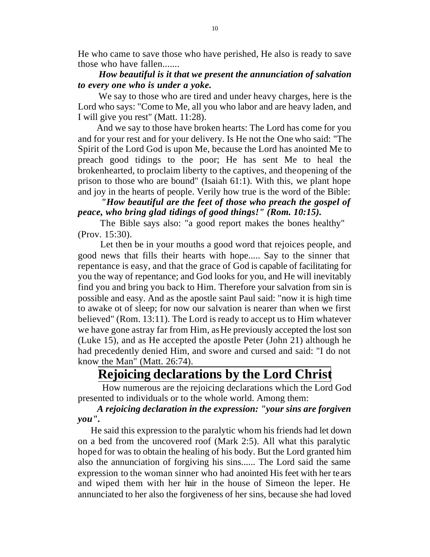He who came to save those who have perished, He also is ready to save those who have fallen.......

#### *How beautiful is it that we present the annunciation of salvation to every one who is under a yoke.*

 We say to those who are tired and under heavy charges, here is the Lord who says: "Come to Me, all you who labor and are heavy laden, and I will give you rest" (Matt. 11:28).

 And we say to those have broken hearts: The Lord has come for you and for your rest and for your delivery. Is He not the One who said: "The Spirit of the Lord God is upon Me, because the Lord has anointed Me to preach good tidings to the poor; He has sent Me to heal the brokenhearted, to proclaim liberty to the captives, and the opening of the prison to those who are bound" (Isaiah 61:1). With this, we plant hope and joy in the hearts of people. Verily how true is the word of the Bible:

#### *"How beautiful are the feet of those who preach the gospel of peace, who bring glad tidings of good things!" (Rom. 10:15).*

 The Bible says also: "a good report makes the bones healthy" (Prov. 15:30).

 Let then be in your mouths a good word that rejoices people, and good news that fills their hearts with hope..... Say to the sinner that repentance is easy, and that the grace of God is capable of facilitating for you the way of repentance; and God looks for you, and He will inevitably find you and bring you back to Him. Therefore your salvation from sin is possible and easy. And as the apostle saint Paul said: "now it is high time to awake ot of sleep; for now our salvation is nearer than when we first believed" (Rom. 13:11). The Lord is ready to accept us to Him whatever we have gone astray far from Him, as He previously accepted the lost son (Luke 15), and as He accepted the apostle Peter (John 21) although he had precedently denied Him, and swore and cursed and said: "I do not know the Man" (Matt. 26:74).

## **Rejoicing declarations by the Lord Christ**

 How numerous are the rejoicing declarations which the Lord God presented to individuals or to the whole world. Among them:

#### *A rejoicing declaration in the expression: "your sins are forgiven you".*

 He said this expression to the paralytic whom his friends had let down on a bed from the uncovered roof (Mark 2:5). All what this paralytic hoped for was to obtain the healing of his body. But the Lord granted him also the annunciation of forgiving his sins...... The Lord said the same expression to the woman sinner who had anointed His feet with her tears and wiped them with her hair in the house of Simeon the leper. He annunciated to her also the forgiveness of her sins, because she had loved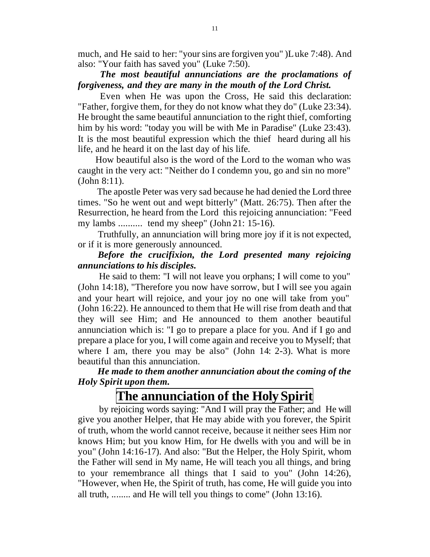much, and He said to her: "your sins are forgiven you" )Luke 7:48). And also: "Your faith has saved you" (Luke 7:50).

#### *The most beautiful annunciations are the proclamations of forgiveness, and they are many in the mouth of the Lord Christ.*

 Even when He was upon the Cross, He said this declaration: "Father, forgive them, for they do not know what they do" (Luke 23:34). He brought the same beautiful annunciation to the right thief, comforting him by his word: "today you will be with Me in Paradise" (Luke 23:43). It is the most beautiful expression which the thief heard during all his life, and he heard it on the last day of his life.

 How beautiful also is the word of the Lord to the woman who was caught in the very act: "Neither do I condemn you, go and sin no more" (John 8:11).

 The apostle Peter was very sad because he had denied the Lord three times. "So he went out and wept bitterly" (Matt. 26:75). Then after the Resurrection, he heard from the Lord this rejoicing annunciation: "Feed my lambs .......... tend my sheep" (John 21: 15-16).

 Truthfully, an annunciation will bring more joy if it is not expected, or if it is more generously announced.

#### *Before the crucifixion, the Lord presented many rejoicing annunciations to his disciples.*

 He said to them: "I will not leave you orphans; I will come to you" (John 14:18), "Therefore you now have sorrow, but I will see you again and your heart will rejoice, and your joy no one will take from you" (John 16:22). He announced to them that He will rise from death and that they will see Him; and He announced to them another beautiful annunciation which is: "I go to prepare a place for you. And if I go and prepare a place for you, I will come again and receive you to Myself; that where I am, there you may be also" (John 14: 2-3). What is more beautiful than this annunciation.

#### *He made to them another annunciation about the coming of the Holy Spirit upon them.*

# **The annunciation of the HolySpirit**

 by rejoicing words saying: "And I will pray the Father; and He will give you another Helper, that He may abide with you forever, the Spirit of truth, whom the world cannot receive, because it neither sees Him nor knows Him; but you know Him, for He dwells with you and will be in you" (John 14:16-17). And also: "But the Helper, the Holy Spirit, whom the Father will send in My name, He will teach you all things, and bring to your remembrance all things that I said to you" (John 14:26), "However, when He, the Spirit of truth, has come, He will guide you into all truth, ........ and He will tell you things to come" (John 13:16).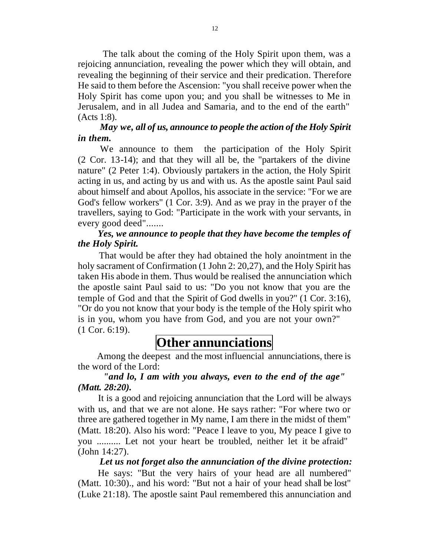The talk about the coming of the Holy Spirit upon them, was a rejoicing annunciation, revealing the power which they will obtain, and revealing the beginning of their service and their predication. Therefore He said to them before the Ascension: "you shall receive power when the Holy Spirit has come upon you; and you shall be witnesses to Me in Jerusalem, and in all Judea and Samaria, and to the end of the earth" (Acts 1:8).

#### *May we, all of us, announce to people the action of the Holy Spirit in them.*

 We announce to them the participation of the Holy Spirit (2 Cor. 13-14); and that they will all be, the "partakers of the divine nature" (2 Peter 1:4). Obviously partakers in the action, the Holy Spirit acting in us, and acting by us and with us. As the apostle saint Paul said about himself and about Apollos, his associate in the service: "For we are God's fellow workers" (1 Cor. 3:9). And as we pray in the prayer of the travellers, saying to God: "Participate in the work with your servants, in every good deed".......

#### *Yes, we announce to people that they have become the temples of the Holy Spirit.*

 That would be after they had obtained the holy anointment in the holy sacrament of Confirmation (1 John 2: 20,27), and the Holy Spirit has taken His abode in them. Thus would be realised the annunciation which the apostle saint Paul said to us: "Do you not know that you are the temple of God and that the Spirit of God dwells in you?" (1 Cor. 3:16), "Or do you not know that your body is the temple of the Holy spirit who is in you, whom you have from God, and you are not your own?" (1 Cor. 6:19).

# **Other annunciations**

 Among the deepest and the most influencial annunciations, there is the word of the Lord:

#### *"and lo, I am with you always, even to the end of the age" (Matt. 28:20).*

 It is a good and rejoicing annunciation that the Lord will be always with us, and that we are not alone. He says rather: "For where two or three are gathered together in My name, I am there in the midst of them" (Matt. 18:20). Also his word: "Peace I leave to you, My peace I give to you .......... Let not your heart be troubled, neither let it be afraid" (John 14:27).

## *Let us not forget also the annunciation of the divine protection:*

 He says: "But the very hairs of your head are all numbered" (Matt. 10:30)., and his word: "But not a hair of your head shall be lost" (Luke 21:18). The apostle saint Paul remembered this annunciation and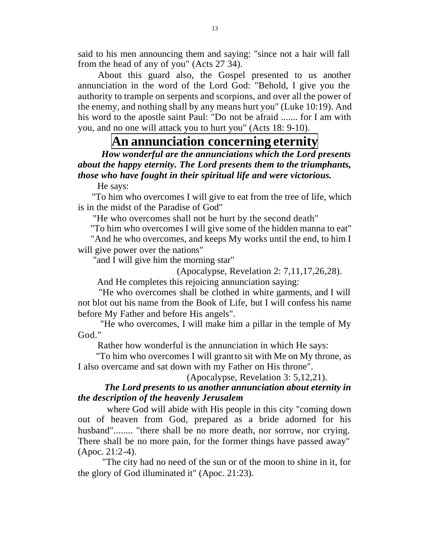said to his men announcing them and saying: "since not a hair will fall from the head of any of you" (Acts 27 34).

 About this guard also, the Gospel presented to us another annunciation in the word of the Lord God: "Behold, I give you the authority to trample on serpents and scorpions, and over all the power of the enemy, and nothing shall by any means hurt you" (Luke 10:19). And his word to the apostle saint Paul: "Do not be afraid ....... for I am with you, and no one will attack you to hurt you" (Acts 18: 9-10).

# **An annunciation concerning eternity**

 *How wonderful are the annunciations which the Lord presents about the happy eternity. The Lord presents them to the triumphants, those who have fought in their spiritual life and were victorious.*

He says:

 "To him who overcomes I will give to eat from the tree of life, which is in the midst of the Paradise of God"

"He who overcomes shall not be hurt by the second death"

"To him who overcomes I will give some of the hidden manna to eat"

 "And he who overcomes, and keeps My works until the end, to him I will give power over the nations"

"and I will give him the morning star"

(Apocalypse, Revelation 2: 7,11,17,26,28).

And He completes this rejoicing annunciation saying:

 "He who overcomes shall be clothed in white garments, and I will not blot out his name from the Book of Life, but I will confess his name before My Father and before His angels".

 "He who overcomes, I will make him a pillar in the temple of My God."

Rather how wonderful is the annunciation in which He says:

 "To him who overcomes I will grant to sit with Me on My throne, as I also overcame and sat down with my Father on His throne".

(Apocalypse, Revelation 3: 5,12,21).

#### *The Lord presents to us another annunciation about eternity in the description of the heavenly Jerusalem*

 where God will abide with His people in this city "coming down out of heaven from God, prepared as a bride adorned for his husband"........ "there shall be no more death, nor sorrow, nor crying. There shall be no more pain, for the former things have passed away" (Apoc. 21:2-4).

 "The city had no need of the sun or of the moon to shine in it, for the glory of God illuminated it" (Apoc. 21:23).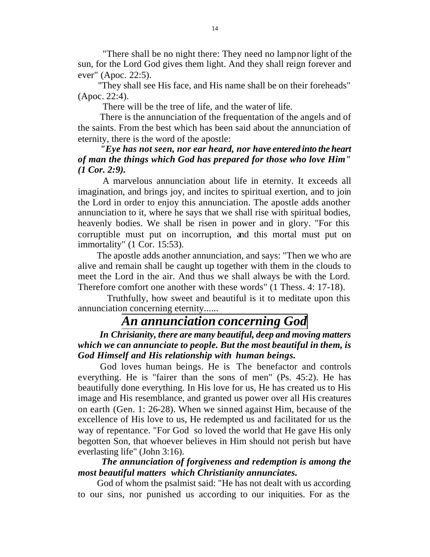"There shall be no night there: They need no lamp nor light of the sun, for the Lord God gives them light. And they shall reign forever and ever" (Apoc. 22:5).

 "They shall see His face, and His name shall be on their foreheads" (Apoc. 22:4).

There will be the tree of life, and the water of life.

 There is the annunciation of the frequentation of the angels and of the saints. From the best which has been said about the annunciation of eternity, there is the word of the apostle:

 *"Eye has not seen, nor ear heard, nor have entered into the heart of man the things which God has prepared for those who love Him" (1 Cor. 2:9).*

 A marvelous annunciation about life in eternity. It exceeds all imagination, and brings joy, and incites to spiritual exertion, and to join the Lord in order to enjoy this annunciation. The apostle adds another annunciation to it, where he says that we shall rise with spiritual bodies, heavenly bodies. We shall be risen in power and in glory. "For this corruptible must put on incorruption, and this mortal must put on immortality" (1 Cor. 15:53).

 The apostle adds another annunciation, and says: "Then we who are alive and remain shall be caught up together with them in the clouds to meet the Lord in the air. And thus we shall always be with the Lord. Therefore comfort one another with these words" (1 Thess. 4: 17-18).

 Truthfully, how sweet and beautiful is it to meditate upon this annunciation concerning eternity......

## *An annunciation concerning God*

 *In Chrisianity, there are many beautiful, deep and moving matters which we can annunciate to people. But the most beautiful in them, is God Himself and His relationship with human beings.*

 God loves human beings. He is The benefactor and controls everything. He is "fairer than the sons of men" (Ps. 45:2). He has beautifully done everything. In His love for us, He has created us to His image and His resemblance, and granted us power over all His creatures on earth (Gen. 1: 26-28). When we sinned against Him, because of the excellence of His love to us, He redempted us and facilitated for us the way of repentance. "For God so loved the world that He gave His only begotten Son, that whoever believes in Him should not perish but have everlasting life" (John 3:16).

#### *The annunciation of forgiveness and redemption is among the most beautiful matters which Christianity annunciates.*

 God of whom the psalmist said: "He has not dealt with us according to our sins, nor punished us according to our iniquities. For as the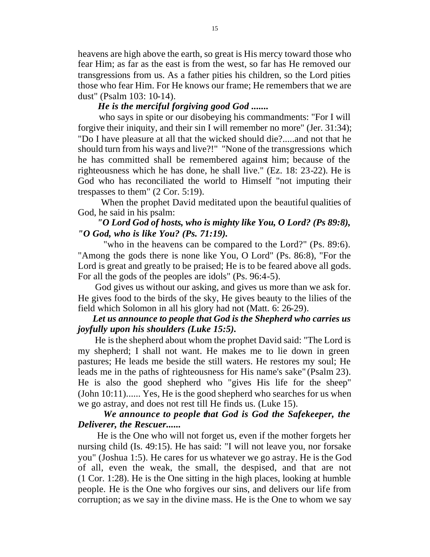heavens are high above the earth, so great is His mercy toward those who fear Him; as far as the east is from the west, so far has He removed our transgressions from us. As a father pities his children, so the Lord pities those who fear Him. For He knows our frame; He remembers that we are dust" (Psalm 103: 10-14).

#### *He is the merciful forgiving good God .......*

 who says in spite or our disobeying his commandments: "For I will forgive their iniquity, and their sin I will remember no more" (Jer. 31:34); "Do I have pleasure at all that the wicked should die?.....and not that he should turn from his ways and live?!" "None of the transgressions which he has committed shall be remembered against him; because of the righteousness which he has done, he shall live." (Ez. 18: 23-22). He is God who has reconciliated the world to Himself "not imputing their trespasses to them" (2 Cor. 5:19).

 When the prophet David meditated upon the beautiful qualities of God, he said in his psalm:

#### *"O Lord God of hosts, who is mighty like You, O Lord? (Ps 89:8), "O God, who is like You? (Ps. 71:19).*

 "who in the heavens can be compared to the Lord?" (Ps. 89:6). "Among the gods there is none like You, O Lord" (Ps. 86:8), "For the Lord is great and greatly to be praised; He is to be feared above all gods. For all the gods of the peoples are idols" (Ps. 96:4-5).

 God gives us without our asking, and gives us more than we ask for. He gives food to the birds of the sky, He gives beauty to the lilies of the field which Solomon in all his glory had not (Matt. 6: 26-29).

#### *Let us announce to people that God is the Shepherd who carries us joyfully upon his shoulders (Luke 15:5).*

 He is the shepherd about whom the prophet David said: "The Lord is my shepherd; I shall not want. He makes me to lie down in green pastures; He leads me beside the still waters. He restores my soul; He leads me in the paths of righteousness for His name's sake" (Psalm 23). He is also the good shepherd who "gives His life for the sheep" (John 10:11)...... Yes, He is the good shepherd who searches for us when we go astray, and does not rest till He finds us. (Luke 15).

#### *We announce to people that God is God the Safekeeper, the Deliverer, the Rescuer......*

 He is the One who will not forget us, even if the mother forgets her nursing child (Is. 49:15). He has said: "I will not leave you, nor forsake you" (Joshua 1:5). He cares for us whatever we go astray. He is the God of all, even the weak, the small, the despised, and that are not (1 Cor. 1:28). He is the One sitting in the high places, looking at humble people. He is the One who forgives our sins, and delivers our life from corruption; as we say in the divine mass. He is the One to whom we say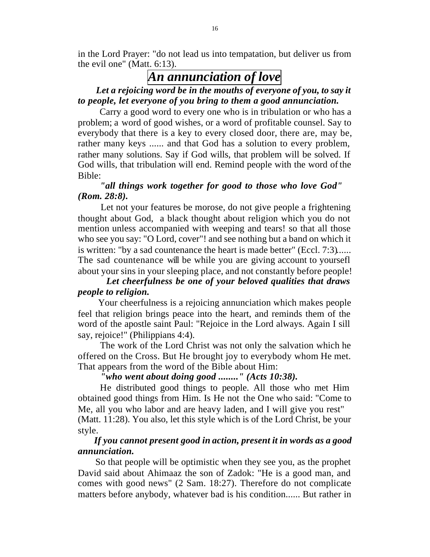in the Lord Prayer: "do not lead us into tempatation, but deliver us from the evil one" (Matt. 6:13).

## *An annunciation of love*

#### *Let a rejoicing word be in the mouths of everyone of you, to say it to people, let everyone of you bring to them a good annunciation.*

 Carry a good word to every one who is in tribulation or who has a problem; a word of good wishes, or a word of profitable counsel. Say to everybody that there is a key to every closed door, there are, may be, rather many keys ...... and that God has a solution to every problem, rather many solutions. Say if God wills, that problem will be solved. If God wills, that tribulation will end. Remind people with the word of the Bible:

#### *"all things work together for good to those who love God" (Rom. 28:8).*

 Let not your features be morose, do not give people a frightening thought about God, a black thought about religion which you do not mention unless accompanied with weeping and tears! so that all those who see you say: "O Lord, cover"! and see nothing but a band on which it is written: "by a sad countenance the heart is made better" (Eccl. 7:3)...... The sad countenance will be while you are giving account to yoursefl about your sins in your sleeping place, and not constantly before people!

#### *Let cheerfulness be one of your beloved qualities that draws people to religion.*

 Your cheerfulness is a rejoicing annunciation which makes people feel that religion brings peace into the heart, and reminds them of the word of the apostle saint Paul: "Rejoice in the Lord always. Again I sill say, rejoice!" (Philippians 4:4).

 The work of the Lord Christ was not only the salvation which he offered on the Cross. But He brought joy to everybody whom He met. That appears from the word of the Bible about Him:

#### *"who went about doing good ........" (Acts 10:38).*

 He distributed good things to people. All those who met Him obtained good things from Him. Is He not the One who said: "Come to Me, all you who labor and are heavy laden, and I will give you rest" (Matt. 11:28). You also, let this style which is of the Lord Christ, be your style.

#### *If you cannot present good in action, present it in words as a good annunciation.*

 So that people will be optimistic when they see you, as the prophet David said about Ahimaaz the son of Zadok: "He is a good man, and comes with good news" (2 Sam. 18:27). Therefore do not complicate matters before anybody, whatever bad is his condition...... But rather in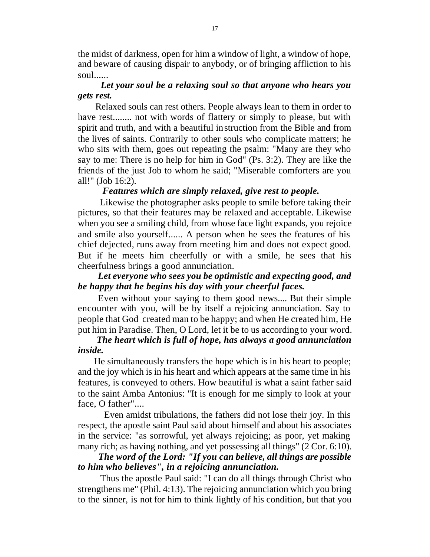the midst of darkness, open for him a window of light, a window of hope, and beware of causing dispair to anybody, or of bringing affliction to his soul......

#### *Let your soul be a relaxing soul so that anyone who hears you gets rest.*

 Relaxed souls can rest others. People always lean to them in order to have rest........ not with words of flattery or simply to please, but with spirit and truth, and with a beautiful instruction from the Bible and from the lives of saints. Contrarily to other souls who complicate matters; he who sits with them, goes out repeating the psalm: "Many are they who say to me: There is no help for him in God" (Ps. 3:2). They are like the friends of the just Job to whom he said; "Miserable comforters are you all!" (Job 16:2).

#### *Features which are simply relaxed, give rest to people.*

 Likewise the photographer asks people to smile before taking their pictures, so that their features may be relaxed and acceptable. Likewise when you see a smiling child, from whose face light expands, you rejoice and smile also yourself...... A person when he sees the features of his chief dejected, runs away from meeting him and does not expect good. But if he meets him cheerfully or with a smile, he sees that his cheerfulness brings a good annunciation.

#### *Let everyone who sees you be optimistic and expecting good, and be happy that he begins his day with your cheerful faces.*

 Even without your saying to them good news.... But their simple encounter with you, will be by itself a rejoicing annunciation. Say to people that God created man to be happy; and when He created him, He put him in Paradise. Then, O Lord, let it be to us according to your word.

#### *The heart which is full of hope, has always a good annunciation inside.*

 He simultaneously transfers the hope which is in his heart to people; and the joy which is in his heart and which appears at the same time in his features, is conveyed to others. How beautiful is what a saint father said to the saint Amba Antonius: "It is enough for me simply to look at your face, O father"....

 Even amidst tribulations, the fathers did not lose their joy. In this respect, the apostle saint Paul said about himself and about his associates in the service: "as sorrowful, yet always rejoicing; as poor, yet making many rich; as having nothing, and yet possessing all things" (2 Cor. 6:10).

#### *The word of the Lord: "If you can believe, all things are possible to him who believes", in a rejoicing annunciation.*

 Thus the apostle Paul said: "I can do all things through Christ who strengthens me" (Phil. 4:13). The rejoicing annunciation which you bring to the sinner, is not for him to think lightly of his condition, but that you